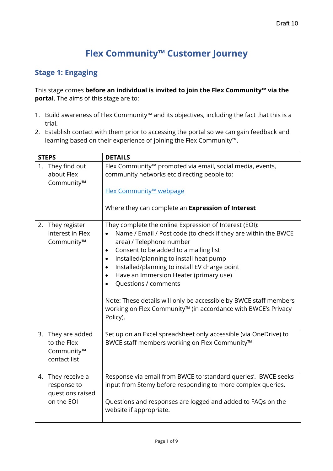# **Flex Community™ Customer Journey**

### **Stage 1: Engaging**

This stage comes **before an individual is invited to join the Flex Community™ via the portal**. The aims of this stage are to:

- 1. Build awareness of Flex Community™ and its objectives, including the fact that this is a trial.
- 2. Establish contact with them prior to accessing the portal so we can gain feedback and learning based on their experience of joining the Flex Community™.

|    | <b>STEPS</b>                                                       | <b>DETAILS</b>                                                                                                                                                                                                                                                                                                                                                                                                                                                                                                                                                                              |
|----|--------------------------------------------------------------------|---------------------------------------------------------------------------------------------------------------------------------------------------------------------------------------------------------------------------------------------------------------------------------------------------------------------------------------------------------------------------------------------------------------------------------------------------------------------------------------------------------------------------------------------------------------------------------------------|
|    | 1. They find out<br>about Flex<br>Community™                       | Flex Community™ promoted via email, social media, events,<br>community networks etc directing people to:<br>Flex Community™ webpage<br>Where they can complete an Expression of Interest                                                                                                                                                                                                                                                                                                                                                                                                    |
| 2. | They register<br>interest in Flex<br>Community™                    | They complete the online Expression of Interest (EOI):<br>Name / Email / Post code (to check if they are within the BWCE<br>$\bullet$<br>area) / Telephone number<br>Consent to be added to a mailing list<br>$\bullet$<br>Installed/planning to install heat pump<br>$\bullet$<br>Installed/planning to install EV charge point<br>$\bullet$<br>Have an Immersion Heater (primary use)<br>$\bullet$<br>Questions / comments<br>$\bullet$<br>Note: These details will only be accessible by BWCE staff members<br>working on Flex Community™ (in accordance with BWCE's Privacy<br>Policy). |
|    | 3. They are added<br>to the Flex<br>Community™<br>contact list     | Set up on an Excel spreadsheet only accessible (via OneDrive) to<br>BWCE staff members working on Flex Community™                                                                                                                                                                                                                                                                                                                                                                                                                                                                           |
|    | 4. They receive a<br>response to<br>questions raised<br>on the EOI | Response via email from BWCE to 'standard queries'. BWCE seeks<br>input from Stemy before responding to more complex queries.<br>Questions and responses are logged and added to FAQs on the<br>website if appropriate.                                                                                                                                                                                                                                                                                                                                                                     |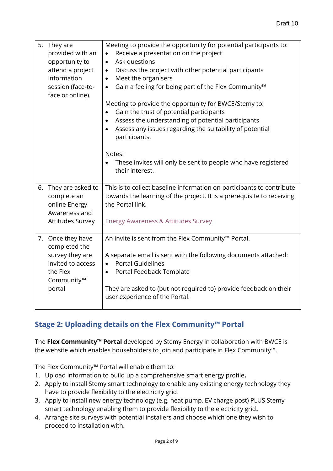| 5. They are<br>provided with an<br>opportunity to<br>attend a project<br>information<br>session (face-to-<br>face or online). | Meeting to provide the opportunity for potential participants to:<br>Receive a presentation on the project<br>$\bullet$<br>Ask questions<br>$\bullet$<br>Discuss the project with other potential participants<br>$\bullet$<br>Meet the organisers<br>$\bullet$<br>Gain a feeling for being part of the Flex Community <sup>™</sup><br>$\bullet$<br>Meeting to provide the opportunity for BWCE/Stemy to:<br>Gain the trust of potential participants<br>$\bullet$<br>Assess the understanding of potential participants<br>$\bullet$<br>Assess any issues regarding the suitability of potential<br>participants.<br>Notes:<br>These invites will only be sent to people who have registered<br>their interest. |
|-------------------------------------------------------------------------------------------------------------------------------|------------------------------------------------------------------------------------------------------------------------------------------------------------------------------------------------------------------------------------------------------------------------------------------------------------------------------------------------------------------------------------------------------------------------------------------------------------------------------------------------------------------------------------------------------------------------------------------------------------------------------------------------------------------------------------------------------------------|
| 6. They are asked to<br>complete an<br>online Energy<br>Awareness and<br><b>Attitudes Survey</b>                              | This is to collect baseline information on participants to contribute<br>towards the learning of the project. It is a prerequisite to receiving<br>the Portal link.<br><b>Energy Awareness &amp; Attitudes Survey</b>                                                                                                                                                                                                                                                                                                                                                                                                                                                                                            |
| 7. Once they have<br>completed the<br>survey they are<br>invited to access<br>the Flex<br>Community™<br>portal                | An invite is sent from the Flex Community <sup>™</sup> Portal.<br>A separate email is sent with the following documents attached:<br><b>Portal Guidelines</b><br>$\bullet$<br>Portal Feedback Template<br>$\bullet$<br>They are asked to (but not required to) provide feedback on their<br>user experience of the Portal.                                                                                                                                                                                                                                                                                                                                                                                       |

### **Stage 2: Uploading details on the Flex Community™ Portal**

The **Flex Community™ Portal** developed by Stemy Energy in collaboration with BWCE is the website which enables householders to join and participate in Flex Community™.

The Flex Community™ Portal will enable them to:

- 1. Upload information to build up a comprehensive smart energy profile**.**
- 2. Apply to install Stemy smart technology to enable any existing energy technology they have to provide flexibility to the electricity grid.
- 3. Apply to install new energy technology (e.g. heat pump, EV charge post) PLUS Stemy smart technology enabling them to provide flexibility to the electricity grid**.**
- 4. Arrange site surveys with potential installers and choose which one they wish to proceed to installation with.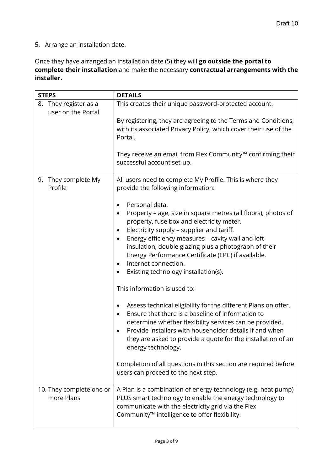5. Arrange an installation date.

Once they have arranged an installation date (5) they will **go outside the portal to complete their installation** and make the necessary **contractual arrangements with the installer.**

| <b>STEPS</b>                                   | <b>DETAILS</b>                                                                                                                                                                                                                                                                                                                                                                                                                         |
|------------------------------------------------|----------------------------------------------------------------------------------------------------------------------------------------------------------------------------------------------------------------------------------------------------------------------------------------------------------------------------------------------------------------------------------------------------------------------------------------|
| They register as a<br>8.<br>user on the Portal | This creates their unique password-protected account.                                                                                                                                                                                                                                                                                                                                                                                  |
|                                                | By registering, they are agreeing to the Terms and Conditions,<br>with its associated Privacy Policy, which cover their use of the<br>Portal.                                                                                                                                                                                                                                                                                          |
|                                                | They receive an email from Flex Community™ confirming their<br>successful account set-up.                                                                                                                                                                                                                                                                                                                                              |
| They complete My<br>9.<br>Profile              | All users need to complete My Profile. This is where they<br>provide the following information:                                                                                                                                                                                                                                                                                                                                        |
|                                                | Personal data.<br>٠<br>Property – age, size in square metres (all floors), photos of<br>٠<br>property, fuse box and electricity meter.<br>Electricity supply - supplier and tariff.<br>٠<br>Energy efficiency measures - cavity wall and loft<br>٠<br>insulation, double glazing plus a photograph of their<br>Energy Performance Certificate (EPC) if available.<br>Internet connection.<br>٠<br>Existing technology installation(s). |
|                                                | This information is used to:                                                                                                                                                                                                                                                                                                                                                                                                           |
|                                                | Assess technical eligibility for the different Plans on offer.<br>٠<br>Ensure that there is a baseline of information to<br>$\bullet$<br>determine whether flexibility services can be provided.<br>Provide installers with householder details if and when<br>they are asked to provide a quote for the installation of an<br>energy technology.                                                                                      |
|                                                | Completion of all questions in this section are required before<br>users can proceed to the next step.                                                                                                                                                                                                                                                                                                                                 |
| 10. They complete one or<br>more Plans         | A Plan is a combination of energy technology (e.g. heat pump)<br>PLUS smart technology to enable the energy technology to<br>communicate with the electricity grid via the Flex<br>Community™ intelligence to offer flexibility.                                                                                                                                                                                                       |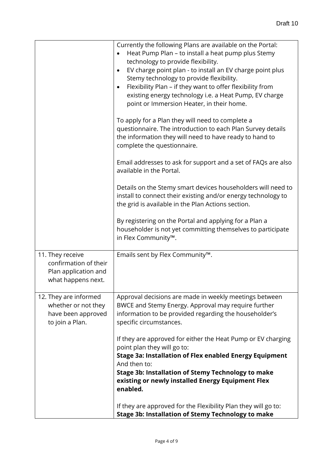|                                                                                         | Currently the following Plans are available on the Portal:<br>Heat Pump Plan - to install a heat pump plus Stemy<br>technology to provide flexibility.<br>EV charge point plan - to install an EV charge point plus<br>$\bullet$<br>Stemy technology to provide flexibility.<br>Flexibility Plan – if they want to offer flexibility from<br>existing energy technology i.e. a Heat Pump, EV charge<br>point or Immersion Heater, in their home.<br>To apply for a Plan they will need to complete a<br>questionnaire. The introduction to each Plan Survey details<br>the information they will need to have ready to hand to<br>complete the questionnaire.<br>Email addresses to ask for support and a set of FAQs are also<br>available in the Portal. |
|-----------------------------------------------------------------------------------------|------------------------------------------------------------------------------------------------------------------------------------------------------------------------------------------------------------------------------------------------------------------------------------------------------------------------------------------------------------------------------------------------------------------------------------------------------------------------------------------------------------------------------------------------------------------------------------------------------------------------------------------------------------------------------------------------------------------------------------------------------------|
|                                                                                         | Details on the Stemy smart devices householders will need to<br>install to connect their existing and/or energy technology to<br>the grid is available in the Plan Actions section.                                                                                                                                                                                                                                                                                                                                                                                                                                                                                                                                                                        |
|                                                                                         | By registering on the Portal and applying for a Plan a<br>householder is not yet committing themselves to participate<br>in Flex Community™.                                                                                                                                                                                                                                                                                                                                                                                                                                                                                                                                                                                                               |
| 11. They receive<br>confirmation of their<br>Plan application and<br>what happens next. | Emails sent by Flex Community™.                                                                                                                                                                                                                                                                                                                                                                                                                                                                                                                                                                                                                                                                                                                            |
| 12. They are informed<br>whether or not they<br>have been approved<br>to join a Plan.   | Approval decisions are made in weekly meetings between<br>BWCE and Stemy Energy. Approval may require further<br>information to be provided regarding the householder's<br>specific circumstances.                                                                                                                                                                                                                                                                                                                                                                                                                                                                                                                                                         |
|                                                                                         | If they are approved for either the Heat Pump or EV charging<br>point plan they will go to:<br>Stage 3a: Installation of Flex enabled Energy Equipment<br>And then to:                                                                                                                                                                                                                                                                                                                                                                                                                                                                                                                                                                                     |
|                                                                                         | <b>Stage 3b: Installation of Stemy Technology to make</b><br>existing or newly installed Energy Equipment Flex<br>enabled.                                                                                                                                                                                                                                                                                                                                                                                                                                                                                                                                                                                                                                 |
|                                                                                         | If they are approved for the Flexibility Plan they will go to:<br><b>Stage 3b: Installation of Stemy Technology to make</b>                                                                                                                                                                                                                                                                                                                                                                                                                                                                                                                                                                                                                                |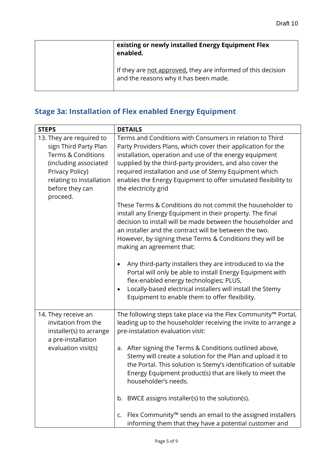| existing or newly installed Energy Equipment Flex<br>enabled.                                         |
|-------------------------------------------------------------------------------------------------------|
| If they are not approved, they are informed of this decision<br>and the reasons why it has been made. |

# **Stage 3a: Installation of Flex enabled Energy Equipment**

| <b>STEPS</b>                                                                                                                                                                   | <b>DETAILS</b>                                                                                                                                                                                                                                                                                                                                                                                                                                                                                                                                                                                                                                    |
|--------------------------------------------------------------------------------------------------------------------------------------------------------------------------------|---------------------------------------------------------------------------------------------------------------------------------------------------------------------------------------------------------------------------------------------------------------------------------------------------------------------------------------------------------------------------------------------------------------------------------------------------------------------------------------------------------------------------------------------------------------------------------------------------------------------------------------------------|
| 13. They are required to<br>sign Third Party Plan<br>Terms & Conditions<br>(including associated<br>Privacy Policy)<br>relating to installation<br>before they can<br>proceed. | Terms and Conditions with Consumers in relation to Third<br>Party Providers Plans, which cover their application for the<br>installation, operation and use of the energy equipment<br>supplied by the third-party providers, and also cover the<br>required installation and use of Stemy Equipment which<br>enables the Energy Equipment to offer simulated flexibility to<br>the electricity grid                                                                                                                                                                                                                                              |
|                                                                                                                                                                                | These Terms & Conditions do not commit the householder to<br>install any Energy Equipment in their property. The final<br>decision to install will be made between the householder and<br>an installer and the contract will be between the two.<br>However, by signing these Terms & Conditions they will be<br>making an agreement that:<br>Any third-party installers they are introduced to via the<br>٠<br>Portal will only be able to install Energy Equipment with<br>flex-enabled energy technologies; PLUS,<br>Locally-based electrical installers will install the Stemy<br>$\bullet$<br>Equipment to enable them to offer flexibility. |
|                                                                                                                                                                                |                                                                                                                                                                                                                                                                                                                                                                                                                                                                                                                                                                                                                                                   |
| 14. They receive an<br>invitation from the<br>installer(s) to arrange<br>a pre-installation                                                                                    | The following steps take place via the Flex Community™ Portal,<br>leading up to the householder receiving the invite to arrange a<br>pre-instalation evaluation visit:                                                                                                                                                                                                                                                                                                                                                                                                                                                                            |
| evaluation visit(s)                                                                                                                                                            | a. After signing the Terms & Conditions outlined above,<br>Stemy will create a solution for the Plan and upload it to<br>the Portal. This solution is Stemy's identification of suitable<br>Energy Equipment product(s) that are likely to meet the<br>householder's needs.                                                                                                                                                                                                                                                                                                                                                                       |
|                                                                                                                                                                                | b. BWCE assigns installer(s) to the solution(s).                                                                                                                                                                                                                                                                                                                                                                                                                                                                                                                                                                                                  |
|                                                                                                                                                                                | Flex Community <sup>™</sup> sends an email to the assigned installers<br>c.<br>informing them that they have a potential customer and                                                                                                                                                                                                                                                                                                                                                                                                                                                                                                             |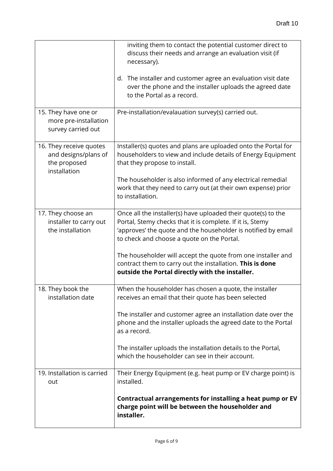|                                                                                 | inviting them to contact the potential customer direct to<br>discuss their needs and arrange an evaluation visit (if<br>necessary).<br>The installer and customer agree an evaluation visit date<br>d.<br>over the phone and the installer uploads the agreed date<br>to the Portal as a record. |
|---------------------------------------------------------------------------------|--------------------------------------------------------------------------------------------------------------------------------------------------------------------------------------------------------------------------------------------------------------------------------------------------|
|                                                                                 |                                                                                                                                                                                                                                                                                                  |
| 15. They have one or<br>more pre-installation<br>survey carried out             | Pre-installation/evalauation survey(s) carried out.                                                                                                                                                                                                                                              |
| 16. They receive quotes<br>and designs/plans of<br>the proposed<br>installation | Installer(s) quotes and plans are uploaded onto the Portal for<br>householders to view and include details of Energy Equipment<br>that they propose to install.                                                                                                                                  |
|                                                                                 | The householder is also informed of any electrical remedial<br>work that they need to carry out (at their own expense) prior<br>to installation.                                                                                                                                                 |
| 17. They choose an<br>installer to carry out<br>the installation                | Once all the installer(s) have uploaded their quote(s) to the<br>Portal, Stemy checks that it is complete. If it is, Stemy<br>'approves' the quote and the householder is notified by email<br>to check and choose a quote on the Portal.                                                        |
|                                                                                 | The householder will accept the quote from one installer and<br>contract them to carry out the installation. This is done<br>outside the Portal directly with the installer.                                                                                                                     |
| 18. They book the<br>installation date                                          | When the householder has chosen a quote, the installer<br>receives an email that their quote has been selected                                                                                                                                                                                   |
|                                                                                 | The installer and customer agree an installation date over the<br>phone and the installer uploads the agreed date to the Portal<br>as a record.                                                                                                                                                  |
|                                                                                 | The installer uploads the installation details to the Portal,<br>which the householder can see in their account.                                                                                                                                                                                 |
| 19. Installation is carried<br>out                                              | Their Energy Equipment (e.g. heat pump or EV charge point) is<br>installed.                                                                                                                                                                                                                      |
|                                                                                 | Contractual arrangements for installing a heat pump or EV<br>charge point will be between the householder and<br>installer.                                                                                                                                                                      |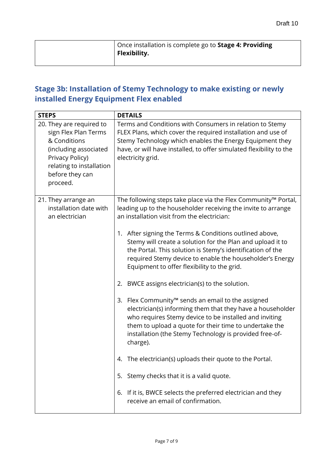| Once installation is complete go to <b>Stage 4: Providing</b><br><b>Flexibility.</b> |
|--------------------------------------------------------------------------------------|
|                                                                                      |

## **Stage 3b: Installation of Stemy Technology to make existing or newly installed Energy Equipment Flex enabled**

| <b>STEPS</b>                                                                                                                                                            | <b>DETAILS</b>                                                                                                                                                                                                                                                                                                            |
|-------------------------------------------------------------------------------------------------------------------------------------------------------------------------|---------------------------------------------------------------------------------------------------------------------------------------------------------------------------------------------------------------------------------------------------------------------------------------------------------------------------|
| 20. They are required to<br>sign Flex Plan Terms<br>& Conditions<br>(including associated<br>Privacy Policy)<br>relating to installation<br>before they can<br>proceed. | Terms and Conditions with Consumers in relation to Stemy<br>FLEX Plans, which cover the required installation and use of<br>Stemy Technology which enables the Energy Equipment they<br>have, or will have installed, to offer simulated flexibility to the<br>electricity grid.                                          |
| 21. They arrange an<br>installation date with<br>an electrician                                                                                                         | The following steps take place via the Flex Community™ Portal,<br>leading up to the householder receiving the invite to arrange<br>an installation visit from the electrician:                                                                                                                                            |
|                                                                                                                                                                         | 1. After signing the Terms & Conditions outlined above,<br>Stemy will create a solution for the Plan and upload it to<br>the Portal. This solution is Stemy's identification of the<br>required Stemy device to enable the householder's Energy<br>Equipment to offer flexibility to the grid.                            |
|                                                                                                                                                                         | BWCE assigns electrician(s) to the solution.<br>2.                                                                                                                                                                                                                                                                        |
|                                                                                                                                                                         | Flex Community <sup>™</sup> sends an email to the assigned<br>3.<br>electrician(s) informing them that they have a householder<br>who requires Stemy device to be installed and inviting<br>them to upload a quote for their time to undertake the<br>installation (the Stemy Technology is provided free-of-<br>charge). |
|                                                                                                                                                                         | The electrician(s) uploads their quote to the Portal.<br>4.                                                                                                                                                                                                                                                               |
|                                                                                                                                                                         | 5. Stemy checks that it is a valid quote.                                                                                                                                                                                                                                                                                 |
|                                                                                                                                                                         | 6. If it is, BWCE selects the preferred electrician and they<br>receive an email of confirmation.                                                                                                                                                                                                                         |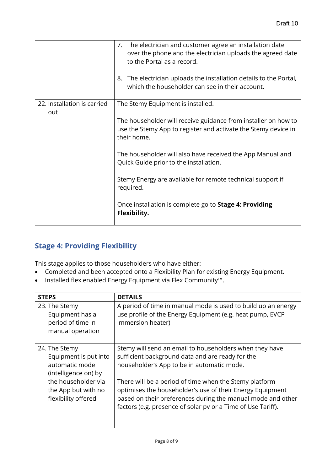|                             | 7. The electrician and customer agree an installation date<br>over the phone and the electrician uploads the agreed date<br>to the Portal as a record.<br>The electrician uploads the installation details to the Portal,<br>8.<br>which the householder can see in their account. |
|-----------------------------|------------------------------------------------------------------------------------------------------------------------------------------------------------------------------------------------------------------------------------------------------------------------------------|
| 22. Installation is carried | The Stemy Equipment is installed.                                                                                                                                                                                                                                                  |
| out                         | The householder will receive guidance from installer on how to<br>use the Stemy App to register and activate the Stemy device in<br>their home.                                                                                                                                    |
|                             | The householder will also have received the App Manual and<br>Quick Guide prior to the installation.                                                                                                                                                                               |
|                             | Stemy Energy are available for remote technical support if<br>required.                                                                                                                                                                                                            |
|                             | Once installation is complete go to Stage 4: Providing<br>Flexibility.                                                                                                                                                                                                             |

#### **Stage 4: Providing Flexibility**

This stage applies to those householders who have either:

- Completed and been accepted onto a Flexibility Plan for existing Energy Equipment.
- Installed flex enabled Energy Equipment via Flex Community™.

| <b>STEPS</b>                                                                     | <b>DETAILS</b>                                                                                                                                                                                                                                     |
|----------------------------------------------------------------------------------|----------------------------------------------------------------------------------------------------------------------------------------------------------------------------------------------------------------------------------------------------|
| 23. The Stemy<br>Equipment has a<br>period of time in<br>manual operation        | A period of time in manual mode is used to build up an energy<br>use profile of the Energy Equipment (e.g. heat pump, EVCP<br>immersion heater)                                                                                                    |
| 24. The Stemy<br>Equipment is put into<br>automatic mode<br>(intelligence on) by | Stemy will send an email to householders when they have<br>sufficient background data and are ready for the<br>householder's App to be in automatic mode.                                                                                          |
| the householder via<br>the App but with no<br>flexibility offered                | There will be a period of time when the Stemy platform<br>optimises the householder's use of their Energy Equipment<br>based on their preferences during the manual mode and other<br>factors (e.g. presence of solar pv or a Time of Use Tariff). |